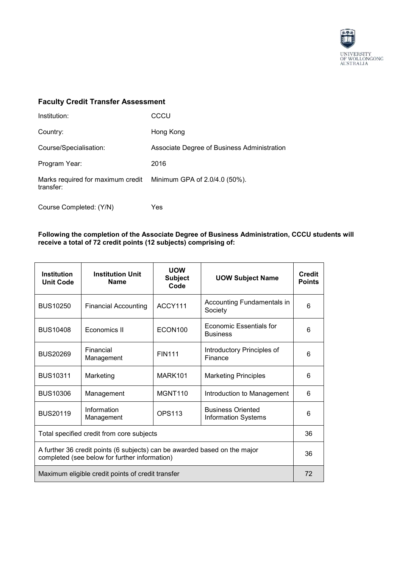

## **Faculty Credit Transfer Assessment**

| Institution:                                                                 | CCCU                                        |
|------------------------------------------------------------------------------|---------------------------------------------|
| Country:                                                                     | Hong Kong                                   |
| Course/Specialisation:                                                       | Associate Degree of Business Administration |
| Program Year:                                                                | 2016                                        |
| Marks required for maximum credit Minimum GPA of 2.0/4.0 (50%).<br>transfer: |                                             |

Course Completed: (Y/N) Yes

## **Following the completion of the Associate Degree of Business Administration, CCCU students will receive a total of 72 credit points (12 subjects) comprising of:**

| <b>Institution</b><br><b>Unit Code</b>                                                                                     | <b>Institution Unit</b><br><b>Name</b> | <b>UOW</b><br><b>Subject</b><br>Code | <b>UOW Subject Name</b>                                | <b>Credit</b><br><b>Points</b> |
|----------------------------------------------------------------------------------------------------------------------------|----------------------------------------|--------------------------------------|--------------------------------------------------------|--------------------------------|
| <b>BUS10250</b>                                                                                                            | <b>Financial Accounting</b>            | ACCY111                              | Accounting Fundamentals in<br>Society                  | 6                              |
| <b>BUS10408</b>                                                                                                            | Economics II                           | ECON100                              | Economic Essentials for<br><b>Business</b>             | 6                              |
| <b>BUS20269</b>                                                                                                            | Financial<br>Management                | <b>FIN111</b>                        | Introductory Principles of<br>Finance                  | 6                              |
| <b>BUS10311</b>                                                                                                            | Marketing                              | MARK101                              | <b>Marketing Principles</b>                            | 6                              |
| <b>BUS10306</b>                                                                                                            | Management                             | MGNT <sub>110</sub>                  | Introduction to Management                             | 6                              |
| <b>BUS20119</b>                                                                                                            | Information<br>Management              | <b>OPS113</b>                        | <b>Business Oriented</b><br><b>Information Systems</b> | 6                              |
| Total specified credit from core subjects                                                                                  |                                        |                                      |                                                        | 36                             |
| A further 36 credit points (6 subjects) can be awarded based on the major<br>completed (see below for further information) |                                        |                                      | 36                                                     |                                |
| Maximum eligible credit points of credit transfer                                                                          |                                        |                                      |                                                        | 72                             |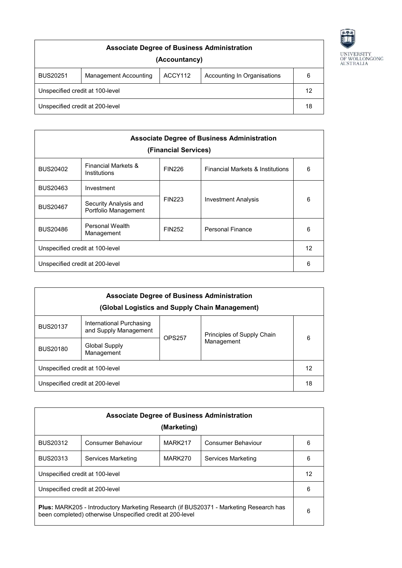

| <b>Associate Degree of Business Administration</b><br>(Accountancy) |                       |         |                             |   |
|---------------------------------------------------------------------|-----------------------|---------|-----------------------------|---|
| <b>BUS20251</b>                                                     | Management Accounting | ACCY112 | Accounting In Organisations | 6 |
| Unspecified credit at 100-level                                     |                       |         | 12                          |   |
| Unspecified credit at 200-level                                     |                       |         | 18                          |   |

| <b>Associate Degree of Business Administration</b><br>(Financial Services) |                                                |               |                                             |   |
|----------------------------------------------------------------------------|------------------------------------------------|---------------|---------------------------------------------|---|
| <b>BUS20402</b>                                                            | <b>Financial Markets &amp;</b><br>Institutions | <b>FIN226</b> | <b>Financial Markets &amp; Institutions</b> | 6 |
| <b>BUS20463</b>                                                            | Investment                                     |               |                                             |   |
| <b>BUS20467</b>                                                            | Security Analysis and<br>Portfolio Management  | <b>FIN223</b> | <b>Investment Analysis</b>                  | 6 |
| <b>BUS20486</b>                                                            | Personal Wealth<br>Management                  | <b>FIN252</b> | <b>Personal Finance</b>                     | 6 |
| Unspecified credit at 100-level                                            |                                                |               | 12                                          |   |
| 6<br>Unspecified credit at 200-level                                       |                                                |               |                                             |   |

| <b>Associate Degree of Business Administration</b><br>(Global Logistics and Supply Chain Management) |                                                   |               |                            |   |
|------------------------------------------------------------------------------------------------------|---------------------------------------------------|---------------|----------------------------|---|
| <b>BUS20137</b>                                                                                      | International Purchasing<br>and Supply Management | <b>OPS257</b> | Principles of Supply Chain | 6 |
| <b>BUS20180</b>                                                                                      | Global Supply<br>Management                       |               | Management                 |   |
| Unspecified credit at 100-level                                                                      |                                                   |               | 12                         |   |
| Unspecified credit at 200-level                                                                      |                                                   |               | 18                         |   |

| <b>Associate Degree of Business Administration</b>                                                                                                        |                    |                     |                    |   |
|-----------------------------------------------------------------------------------------------------------------------------------------------------------|--------------------|---------------------|--------------------|---|
|                                                                                                                                                           |                    | (Marketing)         |                    |   |
| <b>BUS20312</b>                                                                                                                                           | Consumer Behaviour | MARK <sub>217</sub> | Consumer Behaviour | 6 |
| <b>BUS20313</b>                                                                                                                                           | Services Marketing | MARK270             | Services Marketing | 6 |
| Unspecified credit at 100-level                                                                                                                           |                    |                     | 12                 |   |
| Unspecified credit at 200-level<br>6                                                                                                                      |                    |                     |                    |   |
| <b>Plus: MARK205 - Introductory Marketing Research (if BUS20371 - Marketing Research has</b><br>been completed) otherwise Unspecified credit at 200-level |                    |                     | 6                  |   |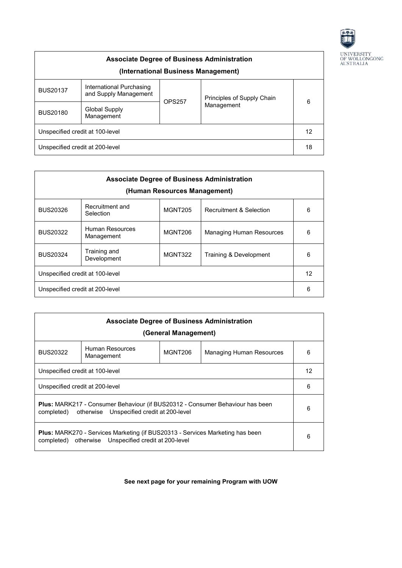

| <b>Associate Degree of Business Administration</b><br>(International Business Management) |                                                   |               |                            |   |
|-------------------------------------------------------------------------------------------|---------------------------------------------------|---------------|----------------------------|---|
| <b>BUS20137</b>                                                                           | International Purchasing<br>and Supply Management | <b>OPS257</b> | Principles of Supply Chain | 6 |
| <b>BUS20180</b>                                                                           | <b>Global Supply</b><br>Management                |               | Management                 |   |
| Unspecified credit at 100-level                                                           |                                                   |               | 12                         |   |
| Unspecified credit at 200-level                                                           |                                                   |               | 18                         |   |

| <b>Associate Degree of Business Administration</b><br>(Human Resources Management) |                               |         |                                    |   |
|------------------------------------------------------------------------------------|-------------------------------|---------|------------------------------------|---|
| <b>BUS20326</b>                                                                    | Recruitment and<br>Selection  | MGNT205 | <b>Recruitment &amp; Selection</b> | 6 |
| <b>BUS20322</b>                                                                    | Human Resources<br>Management | MGNT206 | Managing Human Resources           | 6 |
| <b>BUS20324</b>                                                                    | Training and<br>Development   | MGNT322 | Training & Development             | 6 |
| 12<br>Unspecified credit at 100-level                                              |                               |         |                                    |   |
| 6<br>Unspecified credit at 200-level                                               |                               |         |                                    |   |

| <b>Associate Degree of Business Administration</b><br>(General Management)                                                                           |                                       |         |                          |   |
|------------------------------------------------------------------------------------------------------------------------------------------------------|---------------------------------------|---------|--------------------------|---|
| <b>BUS20322</b>                                                                                                                                      | Human Resources<br>Management         | MGNT206 | Managing Human Resources | 6 |
|                                                                                                                                                      | Unspecified credit at 100-level<br>12 |         |                          |   |
| 6<br>Unspecified credit at 200-level                                                                                                                 |                                       |         |                          |   |
| <b>Plus: MARK217 - Consumer Behaviour (if BUS20312 - Consumer Behaviour has been</b><br>6<br>otherwise Unspecified credit at 200-level<br>completed) |                                       |         |                          |   |
| <b>Plus:</b> MARK270 - Services Marketing (if BUS20313 - Services Marketing has been<br>6<br>completed) otherwise Unspecified credit at 200-level    |                                       |         |                          |   |

## **See next page for your remaining Program with UOW**